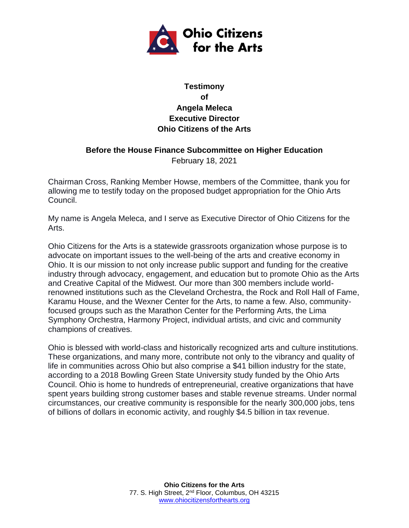

## **Testimony of Angela Meleca Executive Director Ohio Citizens of the Arts**

## **Before the House Finance Subcommittee on Higher Education**

February 18, 2021

Chairman Cross, Ranking Member Howse, members of the Committee, thank you for allowing me to testify today on the proposed budget appropriation for the Ohio Arts Council.

My name is Angela Meleca, and I serve as Executive Director of Ohio Citizens for the Arts.

Ohio Citizens for the Arts is a statewide grassroots organization whose purpose is to advocate on important issues to the well-being of the arts and creative economy in Ohio. It is our mission to not only increase public support and funding for the creative industry through advocacy, engagement, and education but to promote Ohio as the Arts and Creative Capital of the Midwest. Our more than 300 members include worldrenowned institutions such as the Cleveland Orchestra, the Rock and Roll Hall of Fame, Karamu House, and the Wexner Center for the Arts, to name a few. Also, communityfocused groups such as the Marathon Center for the Performing Arts, the Lima Symphony Orchestra, Harmony Project, individual artists, and civic and community champions of creatives.

Ohio is blessed with world-class and historically recognized arts and culture institutions. These organizations, and many more, contribute not only to the vibrancy and quality of life in communities across Ohio but also comprise a \$41 billion industry for the state, according to a 2018 Bowling Green State University study funded by the Ohio Arts Council. Ohio is home to hundreds of entrepreneurial, creative organizations that have spent years building strong customer bases and stable revenue streams. Under normal circumstances, our creative community is responsible for the nearly 300,000 jobs, tens of billions of dollars in economic activity, and roughly \$4.5 billion in tax revenue.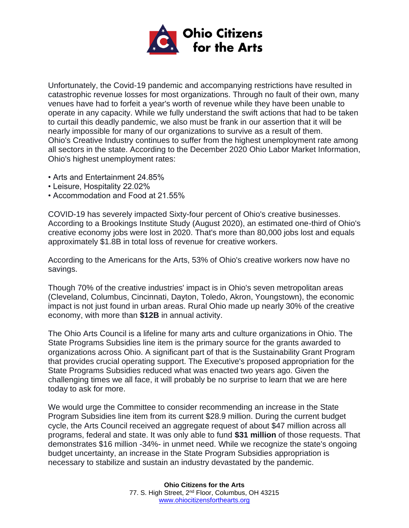

Unfortunately, the Covid-19 pandemic and accompanying restrictions have resulted in catastrophic revenue losses for most organizations. Through no fault of their own, many venues have had to forfeit a year's worth of revenue while they have been unable to operate in any capacity. While we fully understand the swift actions that had to be taken to curtail this deadly pandemic, we also must be frank in our assertion that it will be nearly impossible for many of our organizations to survive as a result of them. Ohio's Creative Industry continues to suffer from the highest unemployment rate among all sectors in the state. According to the December 2020 Ohio Labor Market Information, Ohio's highest unemployment rates:

- Arts and Entertainment 24.85%
- Leisure, Hospitality 22.02%
- Accommodation and Food at 21.55%

COVID-19 has severely impacted Sixty-four percent of Ohio's creative businesses. According to a Brookings Institute Study (August 2020), an estimated one-third of Ohio's creative economy jobs were lost in 2020. That's more than 80,000 jobs lost and equals approximately \$1.8B in total loss of revenue for creative workers.

According to the Americans for the Arts, 53% of Ohio's creative workers now have no savings.

Though 70% of the creative industries' impact is in Ohio's seven metropolitan areas (Cleveland, Columbus, Cincinnati, Dayton, Toledo, Akron, Youngstown), the economic impact is not just found in urban areas. Rural Ohio made up nearly 30% of the creative economy, with more than **\$12B** in annual activity.

The Ohio Arts Council is a lifeline for many arts and culture organizations in Ohio. The State Programs Subsidies line item is the primary source for the grants awarded to organizations across Ohio. A significant part of that is the Sustainability Grant Program that provides crucial operating support. The Executive's proposed appropriation for the State Programs Subsidies reduced what was enacted two years ago. Given the challenging times we all face, it will probably be no surprise to learn that we are here today to ask for more.

We would urge the Committee to consider recommending an increase in the State Program Subsidies line item from its current \$28.9 million. During the current budget cycle, the Arts Council received an aggregate request of about \$47 million across all programs, federal and state. It was only able to fund **\$31 million** of those requests. That demonstrates \$16 million -34%- in unmet need. While we recognize the state's ongoing budget uncertainty, an increase in the State Program Subsidies appropriation is necessary to stabilize and sustain an industry devastated by the pandemic.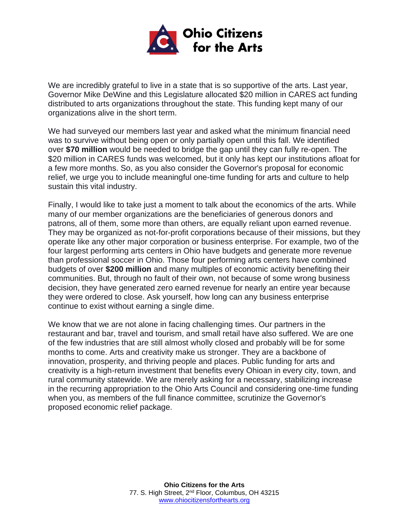

We are incredibly grateful to live in a state that is so supportive of the arts. Last year, Governor Mike DeWine and this Legislature allocated \$20 million in CARES act funding distributed to arts organizations throughout the state. This funding kept many of our organizations alive in the short term.

We had surveyed our members last year and asked what the minimum financial need was to survive without being open or only partially open until this fall. We identified over **\$70 million** would be needed to bridge the gap until they can fully re-open. The \$20 million in CARES funds was welcomed, but it only has kept our institutions afloat for a few more months. So, as you also consider the Governor's proposal for economic relief, we urge you to include meaningful one-time funding for arts and culture to help sustain this vital industry.

Finally, I would like to take just a moment to talk about the economics of the arts. While many of our member organizations are the beneficiaries of generous donors and patrons, all of them, some more than others, are equally reliant upon earned revenue. They may be organized as not-for-profit corporations because of their missions, but they operate like any other major corporation or business enterprise. For example, two of the four largest performing arts centers in Ohio have budgets and generate more revenue than professional soccer in Ohio. Those four performing arts centers have combined budgets of over **\$200 million** and many multiples of economic activity benefiting their communities. But, through no fault of their own, not because of some wrong business decision, they have generated zero earned revenue for nearly an entire year because they were ordered to close. Ask yourself, how long can any business enterprise continue to exist without earning a single dime.

We know that we are not alone in facing challenging times. Our partners in the restaurant and bar, travel and tourism, and small retail have also suffered. We are one of the few industries that are still almost wholly closed and probably will be for some months to come. Arts and creativity make us stronger. They are a backbone of innovation, prosperity, and thriving people and places. Public funding for arts and creativity is a high-return investment that benefits every Ohioan in every city, town, and rural community statewide. We are merely asking for a necessary, stabilizing increase in the recurring appropriation to the Ohio Arts Council and considering one-time funding when you, as members of the full finance committee, scrutinize the Governor's proposed economic relief package.